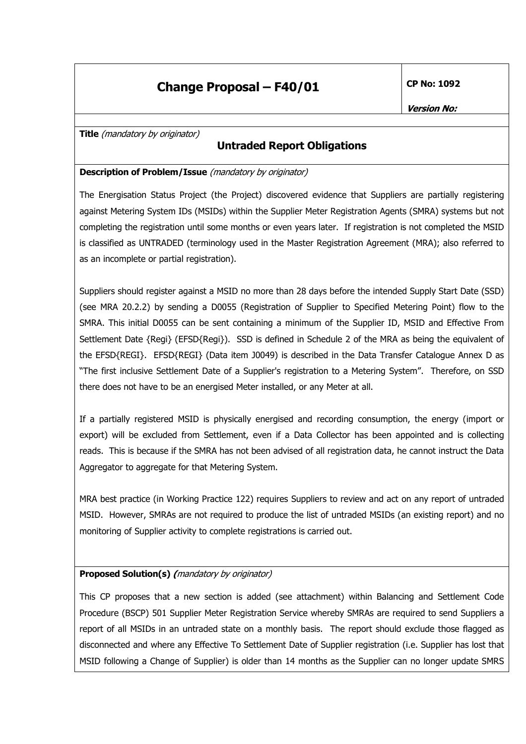## **Change Proposal - F40/01**

**CP No: 1092** 

Title (mandatory by originator)

### **Untraded Report Obligations**

#### Description of Problem/Issue (mandatory by originator)

The Energisation Status Project (the Project) discovered evidence that Suppliers are partially registering against Metering System IDs (MSIDs) within the Supplier Meter Registration Agents (SMRA) systems but not completing the registration until some months or even years later. If registration is not completed the MSID is classified as UNTRADED (terminology used in the Master Registration Agreement (MRA); also referred to as an incomplete or partial registration).

Suppliers should register against a MSID no more than 28 days before the intended Supply Start Date (SSD) (see MRA 20.2.2) by sending a D0055 (Registration of Supplier to Specified Metering Point) flow to the SMRA. This initial D0055 can be sent containing a minimum of the Supplier ID, MSID and Effective From Settlement Date {Regi} (EFSD{Regi}). SSD is defined in Schedule 2 of the MRA as being the equivalent of the EFSD{REGI}. EFSD{REGI} (Data item J0049) is described in the Data Transfer Catalogue Annex D as "The first inclusive Settlement Date of a Supplier's registration to a Metering System". Therefore, on SSD there does not have to be an energised Meter installed, or any Meter at all.

If a partially registered MSID is physically energised and recording consumption, the energy (import or export) will be excluded from Settlement, even if a Data Collector has been appointed and is collecting reads. This is because if the SMRA has not been advised of all registration data, he cannot instruct the Data Aggregator to aggregate for that Metering System.

MRA best practice (in Working Practice 122) requires Suppliers to review and act on any report of untraded MSID. However, SMRAs are not required to produce the list of untraded MSIDs (an existing report) and no monitoring of Supplier activity to complete registrations is carried out.

### **Proposed Solution(s)** (mandatory by originator)

This CP proposes that a new section is added (see attachment) within Balancing and Settlement Code Procedure (BSCP) 501 Supplier Meter Registration Service whereby SMRAs are required to send Suppliers a report of all MSIDs in an untraded state on a monthly basis. The report should exclude those flagged as disconnected and where any Effective To Settlement Date of Supplier registration (i.e. Supplier has lost that MSID following a Change of Supplier) is older than 14 months as the Supplier can no longer update SMRS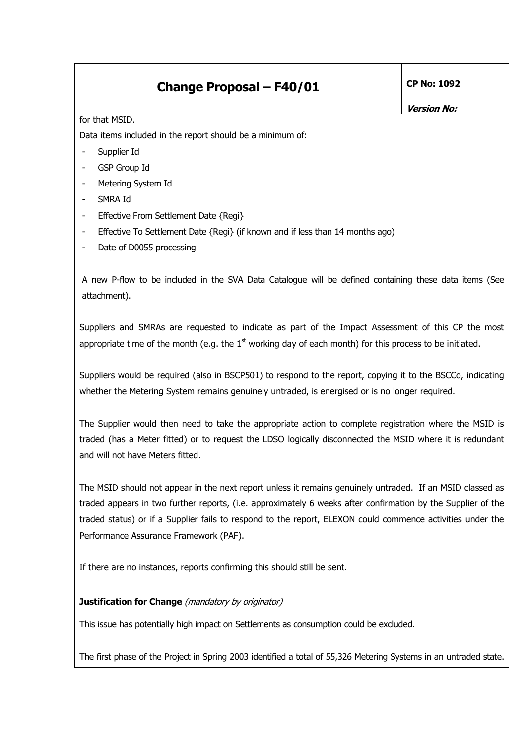## **Change Proposal - F40/01**

**Version No:** 

#### for that MSID.

Data items included in the report should be a minimum of:

- Supplier Id
- **GSP** Group Id
- Metering System Id
- SMRA Id
- Effective From Settlement Date {Regi}
- Effective To Settlement Date {Regi} (if known and if less than 14 months ago)
- Date of D0055 processing

A new P-flow to be included in the SVA Data Catalogue will be defined containing these data items (See attachment).

Suppliers and SMRAs are requested to indicate as part of the Impact Assessment of this CP the most appropriate time of the month (e.g. the  $1<sup>st</sup>$  working day of each month) for this process to be initiated.

Suppliers would be required (also in BSCP501) to respond to the report, copying it to the BSCCo, indicating whether the Metering System remains genuinely untraded, is energised or is no longer required.

The Supplier would then need to take the appropriate action to complete registration where the MSID is traded (has a Meter fitted) or to request the LDSO logically disconnected the MSID where it is redundant and will not have Meters fitted.

The MSID should not appear in the next report unless it remains genuinely untraded. If an MSID classed as traded appears in two further reports, (i.e. approximately 6 weeks after confirmation by the Supplier of the traded status) or if a Supplier fails to respond to the report, ELEXON could commence activities under the Performance Assurance Framework (PAF).

If there are no instances, reports confirming this should still be sent.

### Justification for Change (mandatory by originator)

This issue has potentially high impact on Settlements as consumption could be excluded.

The first phase of the Project in Spring 2003 identified a total of 55,326 Metering Systems in an untraded state.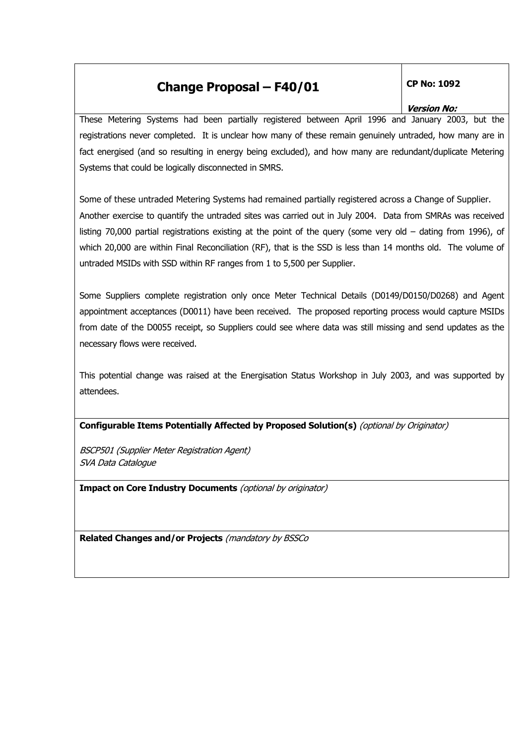# **Change Proposal - F40/01**

### **CP No: 1092**

#### **Version No:**

These Metering Systems had been partially registered between April 1996 and January 2003, but the registrations never completed. It is unclear how many of these remain genuinely untraded, how many are in fact energised (and so resulting in energy being excluded), and how many are redundant/duplicate Metering Systems that could be logically disconnected in SMRS.

Some of these untraded Metering Systems had remained partially registered across a Change of Supplier. Another exercise to quantify the untraded sites was carried out in July 2004. Data from SMRAs was received listing 70,000 partial registrations existing at the point of the guery (some very old  $-$  dating from 1996), of which 20,000 are within Final Reconciliation (RF), that is the SSD is less than 14 months old. The volume of untraded MSIDs with SSD within RF ranges from 1 to 5,500 per Supplier.

Some Suppliers complete registration only once Meter Technical Details (D0149/D0150/D0268) and Agent appointment acceptances (D0011) have been received. The proposed reporting process would capture MSIDs from date of the D0055 receipt, so Suppliers could see where data was still missing and send updates as the necessary flows were received.

This potential change was raised at the Energisation Status Workshop in July 2003, and was supported by attendees.

Configurable Items Potentially Affected by Proposed Solution(s) (optional by Originator)

**BSCP501 (Supplier Meter Registration Agent)** SVA Data Catalogue

Impact on Core Industry Documents (optional by originator)

Related Changes and/or Projects (mandatory by BSSCo